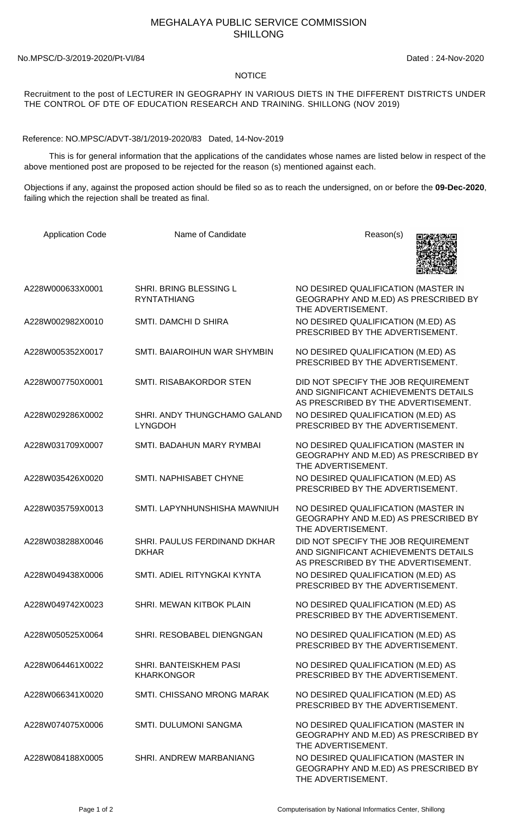## MEGHALAYA PUBLIC SERVICE COMMISSION SHILLONG

No.MPSC/D-3/2019-2020/Pt-VI/84 Dated : 24-Nov-2020

## NOTICE

Recruitment to the post of LECTURER IN GEOGRAPHY IN VARIOUS DIETS IN THE DIFFERENT DISTRICTS UNDER THE CONTROL OF DTE OF EDUCATION RESEARCH AND TRAINING. SHILLONG (NOV 2019)

Reference: NO.MPSC/ADVT-38/1/2019-2020/83 Dated, 14-Nov-2019

 This is for general information that the applications of the candidates whose names are listed below in respect of the above mentioned post are proposed to be rejected for the reason (s) mentioned against each.

Objections if any, against the proposed action should be filed so as to reach the undersigned, on or before the **09-Dec-2020**, failing which the rejection shall be treated as final.

| <b>Application Code</b> | Name of Candidate                              | Reason(s)                                                                                                          |
|-------------------------|------------------------------------------------|--------------------------------------------------------------------------------------------------------------------|
| A228W000633X0001        | SHRI. BRING BLESSING L<br><b>RYNTATHIANG</b>   | NO DESIRED QUALIFICATION (MASTER IN<br>GEOGRAPHY AND M.ED) AS PRESCRIBED BY<br>THE ADVERTISEMENT.                  |
| A228W002982X0010        | SMTI. DAMCHI D SHIRA                           | NO DESIRED QUALIFICATION (M.ED) AS<br>PRESCRIBED BY THE ADVERTISEMENT.                                             |
| A228W005352X0017        | SMTI. BAIAROIHUN WAR SHYMBIN                   | NO DESIRED QUALIFICATION (M.ED) AS<br>PRESCRIBED BY THE ADVERTISEMENT.                                             |
| A228W007750X0001        | SMTI. RISABAKORDOR STEN                        | DID NOT SPECIFY THE JOB REQUIREMENT<br>AND SIGNIFICANT ACHIEVEMENTS DETAILS<br>AS PRESCRIBED BY THE ADVERTISEMENT. |
| A228W029286X0002        | SHRI. ANDY THUNGCHAMO GALAND<br><b>LYNGDOH</b> | NO DESIRED QUALIFICATION (M.ED) AS<br>PRESCRIBED BY THE ADVERTISEMENT.                                             |
| A228W031709X0007        | SMTI. BADAHUN MARY RYMBAI                      | NO DESIRED QUALIFICATION (MASTER IN<br>GEOGRAPHY AND M.ED) AS PRESCRIBED BY<br>THE ADVERTISEMENT.                  |
| A228W035426X0020        | SMTI. NAPHISABET CHYNE                         | NO DESIRED QUALIFICATION (M.ED) AS<br>PRESCRIBED BY THE ADVERTISEMENT.                                             |
| A228W035759X0013        | SMTI. LAPYNHUNSHISHA MAWNIUH                   | NO DESIRED QUALIFICATION (MASTER IN<br>GEOGRAPHY AND M.ED) AS PRESCRIBED BY<br>THE ADVERTISEMENT.                  |
| A228W038288X0046        | SHRI. PAULUS FERDINAND DKHAR<br><b>DKHAR</b>   | DID NOT SPECIFY THE JOB REQUIREMENT<br>AND SIGNIFICANT ACHIEVEMENTS DETAILS<br>AS PRESCRIBED BY THE ADVERTISEMENT. |
| A228W049438X0006        | SMTI. ADIEL RITYNGKAI KYNTA                    | NO DESIRED QUALIFICATION (M.ED) AS<br>PRESCRIBED BY THE ADVERTISEMENT.                                             |
| A228W049742X0023        | SHRI. MEWAN KITBOK PLAIN                       | NO DESIRED QUALIFICATION (M.ED) AS<br>PRESCRIBED BY THE ADVERTISEMENT.                                             |
| A228W050525X0064        | SHRI. RESOBABEL DIENGNGAN                      | NO DESIRED QUALIFICATION (M.ED) AS<br>PRESCRIBED BY THE ADVERTISEMENT.                                             |
| A228W064461X0022        | SHRI. BANTEISKHEM PASI<br><b>KHARKONGOR</b>    | NO DESIRED QUALIFICATION (M.ED) AS<br>PRESCRIBED BY THE ADVERTISEMENT.                                             |
| A228W066341X0020        | SMTI. CHISSANO MRONG MARAK                     | NO DESIRED QUALIFICATION (M.ED) AS<br>PRESCRIBED BY THE ADVERTISEMENT.                                             |
| A228W074075X0006        | SMTI. DULUMONI SANGMA                          | NO DESIRED QUALIFICATION (MASTER IN<br>GEOGRAPHY AND M.ED) AS PRESCRIBED BY<br>THE ADVERTISEMENT.                  |
| A228W084188X0005        | SHRI. ANDREW MARBANIANG                        | NO DESIRED QUALIFICATION (MASTER IN<br>GEOGRAPHY AND M.ED) AS PRESCRIBED BY<br>THE ADVERTISEMENT.                  |